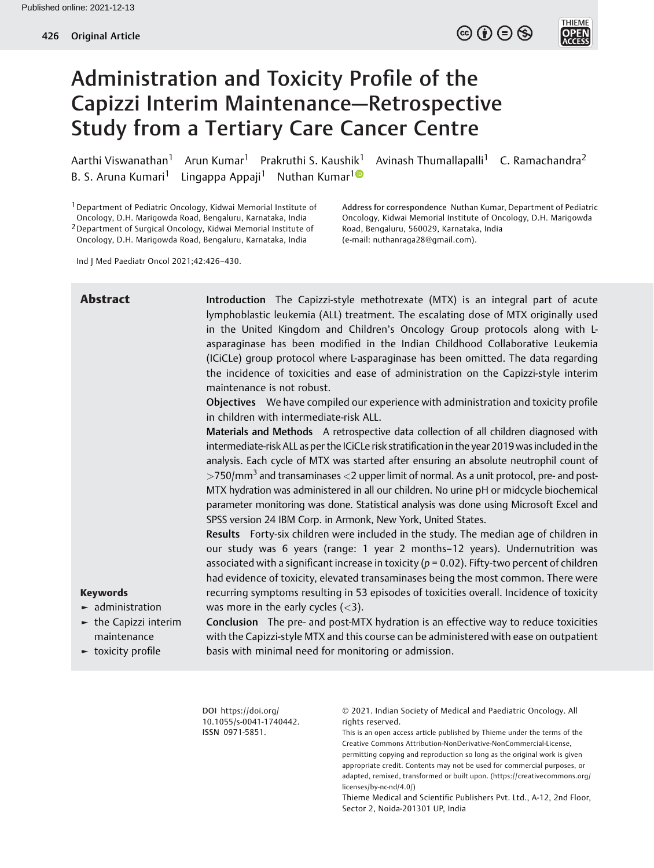$\circledcirc$  (i)  $\ominus$   $\circledcirc$ 

**THIEME** 



Aarthi Viswanathan<sup>1</sup> Arun Kumar<sup>1</sup> Prakruthi S. Kaushik<sup>1</sup> Avinash Thumallapalli<sup>1</sup> C. Ramachandra<sup>2</sup> B. S. Aruna Kumari<sup>1</sup> Lingappa Appaji<sup>1</sup> Nuthan Kumar<sup>10</sup>

1Department of Pediatric Oncology, Kidwai Memorial Institute of Oncology, D.H. Marigowda Road, Bengaluru, Karnataka, India 2Department of Surgical Oncology, Kidwai Memorial Institute of Oncology, D.H. Marigowda Road, Bengaluru, Karnataka, India

Address for correspondence Nuthan Kumar, Department of Pediatric Oncology, Kidwai Memorial Institute of Oncology, D.H. Marigowda Road, Bengaluru, 560029, Karnataka, India (e-mail: [nuthanraga28@gmail.com](mailto:nuthanraga28@gmail.com)).

Ind J Med Paediatr Oncol 2021;42:426–430.

# **Abstract** Introduction The Capizzi-style methotrexate (MTX) is an integral part of acute lymphoblastic leukemia (ALL) treatment. The escalating dose of MTX originally used in the United Kingdom and Children's Oncology Group protocols along with Lasparaginase has been modified in the Indian Childhood Collaborative Leukemia (ICiCLe) group protocol where L-asparaginase has been omitted. The data regarding the incidence of toxicities and ease of administration on the Capizzi-style interim maintenance is not robust. Objectives We have compiled our experience with administration and toxicity profile in children with intermediate-risk ALL.

Materials and Methods A retrospective data collection of all children diagnosed with intermediate-risk ALL as per the ICiCLe risk stratification in the year 2019 was included in the analysis. Each cycle of MTX was started after ensuring an absolute neutrophil count of  $>$ 750/mm<sup>3</sup> and transaminases  $<$ 2 upper limit of normal. As a unit protocol, pre- and post-MTX hydration was administered in all our children. No urine pH or midcycle biochemical parameter monitoring was done. Statistical analysis was done using Microsoft Excel and SPSS version 24 IBM Corp. in Armonk, New York, United States.

Results Forty-six children were included in the study. The median age of children in our study was 6 years (range: 1 year 2 months–12 years). Undernutrition was associated with a significant increase in toxicity ( $p = 0.02$ ). Fifty-two percent of children had evidence of toxicity, elevated transaminases being the most common. There were recurring symptoms resulting in 53 episodes of toxicities overall. Incidence of toxicity was more in the early cycles  $(<$ 3).

# Keywords

- ► administration
- $\blacktriangleright$  the Capizzi interim maintenance
- ► toxicity profile

Conclusion The pre- and post-MTX hydration is an effective way to reduce toxicities with the Capizzi-style MTX and this course can be administered with ease on outpatient basis with minimal need for monitoring or admission.

DOI [https://doi.org/](https://doi.org/10.1055/s-0041-1740442) [10.1055/s-0041-1740442](https://doi.org/10.1055/s-0041-1740442). ISSN 0971-5851.

© 2021. Indian Society of Medical and Paediatric Oncology. All rights reserved.

This is an open access article published by Thieme under the terms of the Creative Commons Attribution-NonDerivative-NonCommercial-License, permitting copying and reproduction so long as the original work is given appropriate credit. Contents may not be used for commercial purposes, or adapted, remixed, transformed or built upon. (https://creativecommons.org/ licenses/by-nc-nd/4.0/)

Thieme Medical and Scientific Publishers Pvt. Ltd., A-12, 2nd Floor, Sector 2, Noida-201301 UP, India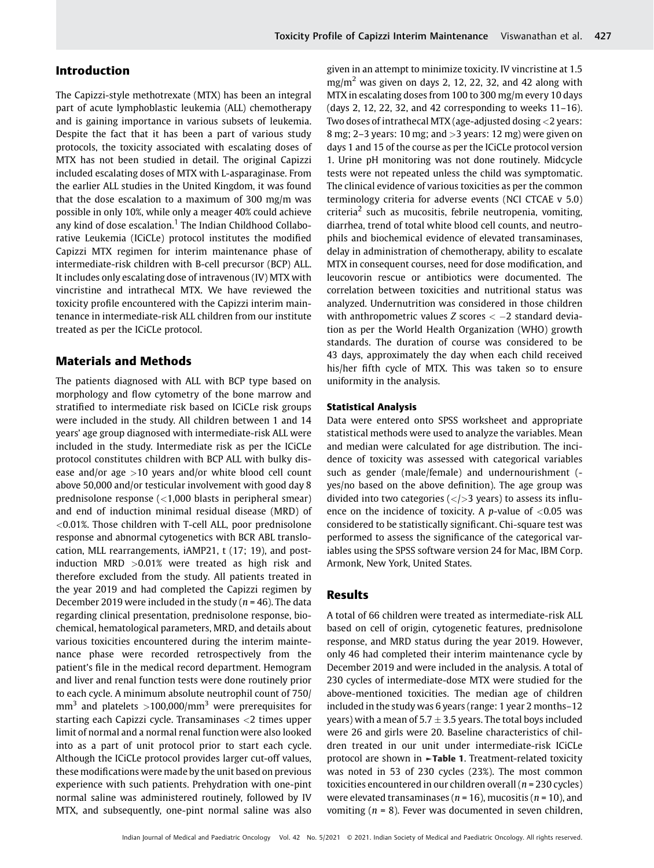## Introduction

The Capizzi-style methotrexate (MTX) has been an integral part of acute lymphoblastic leukemia (ALL) chemotherapy and is gaining importance in various subsets of leukemia. Despite the fact that it has been a part of various study protocols, the toxicity associated with escalating doses of MTX has not been studied in detail. The original Capizzi included escalating doses of MTX with L-asparaginase. From the earlier ALL studies in the United Kingdom, it was found that the dose escalation to a maximum of 300 mg/m was possible in only 10%, while only a meager 40% could achieve any kind of dose escalation.<sup>1</sup> The Indian Childhood Collaborative Leukemia (ICiCLe) protocol institutes the modified Capizzi MTX regimen for interim maintenance phase of intermediate-risk children with B-cell precursor (BCP) ALL. It includes only escalating dose of intravenous (IV) MTX with vincristine and intrathecal MTX. We have reviewed the toxicity profile encountered with the Capizzi interim maintenance in intermediate-risk ALL children from our institute treated as per the ICiCLe protocol.

## Materials and Methods

The patients diagnosed with ALL with BCP type based on morphology and flow cytometry of the bone marrow and stratified to intermediate risk based on ICiCLe risk groups were included in the study. All children between 1 and 14 years' age group diagnosed with intermediate-risk ALL were included in the study. Intermediate risk as per the ICiCLe protocol constitutes children with BCP ALL with bulky disease and/or age  $>10$  years and/or white blood cell count above 50,000 and/or testicular involvement with good day 8 prednisolone response (<1,000 blasts in peripheral smear) and end of induction minimal residual disease (MRD) of <0.01%. Those children with T-cell ALL, poor prednisolone response and abnormal cytogenetics with BCR ABL translocation, MLL rearrangements, iAMP21, t (17; 19), and postinduction MRD >0.01% were treated as high risk and therefore excluded from the study. All patients treated in the year 2019 and had completed the Capizzi regimen by December 2019 were included in the study ( $n = 46$ ). The data regarding clinical presentation, prednisolone response, biochemical, hematological parameters, MRD, and details about various toxicities encountered during the interim maintenance phase were recorded retrospectively from the patient's file in the medical record department. Hemogram and liver and renal function tests were done routinely prior to each cycle. A minimum absolute neutrophil count of 750/  $mm<sup>3</sup>$  and platelets >100,000/mm<sup>3</sup> were prerequisites for starting each Capizzi cycle. Transaminases <2 times upper limit of normal and a normal renal function were also looked into as a part of unit protocol prior to start each cycle. Although the ICiCLe protocol provides larger cut-off values, these modifications were made by the unit based on previous experience with such patients. Prehydration with one-pint normal saline was administered routinely, followed by IV MTX, and subsequently, one-pint normal saline was also given in an attempt to minimize toxicity. IV vincristine at 1.5  $mg/m<sup>2</sup>$  was given on days 2, 12, 22, 32, and 42 along with MTX in escalating doses from 100 to 300 mg/m every 10 days (days 2, 12, 22, 32, and 42 corresponding to weeks 11–16). Two doses of intrathecal MTX (age-adjusted dosing <2 years: 8 mg; 2–3 years: 10 mg; and >3 years: 12 mg) were given on days 1 and 15 of the course as per the ICiCLe protocol version 1. Urine pH monitoring was not done routinely. Midcycle tests were not repeated unless the child was symptomatic. The clinical evidence of various toxicities as per the common terminology criteria for adverse events (NCI CTCAE v 5.0)  $c$ riteria<sup>2</sup> such as mucositis, febrile neutropenia, vomiting, diarrhea, trend of total white blood cell counts, and neutrophils and biochemical evidence of elevated transaminases, delay in administration of chemotherapy, ability to escalate MTX in consequent courses, need for dose modification, and leucovorin rescue or antibiotics were documented. The correlation between toxicities and nutritional status was analyzed. Undernutrition was considered in those children with anthropometric values  $Z$  scores  $<-2$  standard deviation as per the World Health Organization (WHO) growth standards. The duration of course was considered to be 43 days, approximately the day when each child received his/her fifth cycle of MTX. This was taken so to ensure uniformity in the analysis.

#### Statistical Analysis

Data were entered onto SPSS worksheet and appropriate statistical methods were used to analyze the variables. Mean and median were calculated for age distribution. The incidence of toxicity was assessed with categorical variables such as gender (male/female) and undernourishment ( yes/no based on the above definition). The age group was divided into two categories  $\left\langle \langle \rangle \right\rangle$  years) to assess its influence on the incidence of toxicity. A p-value of  $< 0.05$  was considered to be statistically significant. Chi-square test was performed to assess the significance of the categorical variables using the SPSS software version 24 for Mac, IBM Corp. Armonk, New York, United States.

### Results

A total of 66 children were treated as intermediate-risk ALL based on cell of origin, cytogenetic features, prednisolone response, and MRD status during the year 2019. However, only 46 had completed their interim maintenance cycle by December 2019 and were included in the analysis. A total of 230 cycles of intermediate-dose MTX were studied for the above-mentioned toxicities. The median age of children included in the study was 6 years (range: 1 year 2 months–12 years) with a mean of 5.7  $\pm$  3.5 years. The total boys included were 26 and girls were 20. Baseline characteristics of children treated in our unit under intermediate-risk ICiCLe protocol are shown in ►Table 1. Treatment-related toxicity was noted in 53 of 230 cycles (23%). The most common toxicities encountered in our children overall ( $n = 230$  cycles) were elevated transaminases ( $n = 16$ ), mucositis ( $n = 10$ ), and vomiting ( $n = 8$ ). Fever was documented in seven children,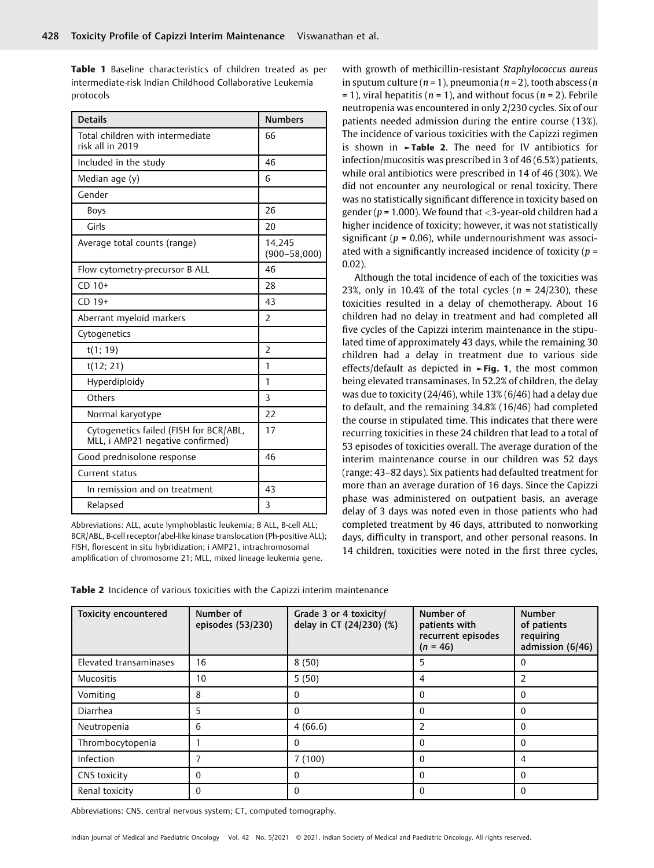Table 1 Baseline characteristics of children treated as per intermediate-risk Indian Childhood Collaborative Leukemia protocols

| <b>Details</b>                                                             | <b>Numbers</b>             |
|----------------------------------------------------------------------------|----------------------------|
| Total children with intermediate<br>risk all in 2019                       | 66                         |
| Included in the study                                                      | 46                         |
| Median age (y)                                                             | 6                          |
| Gender                                                                     |                            |
| <b>Boys</b>                                                                | 26                         |
| Girls                                                                      | 20                         |
| Average total counts (range)                                               | 14,245<br>$(900 - 58,000)$ |
| Flow cytometry-precursor B ALL                                             | 46                         |
| $CD 10+$                                                                   | 28                         |
| $CD$ 19+                                                                   | 43                         |
| Aberrant myeloid markers                                                   | $\overline{2}$             |
| Cytogenetics                                                               |                            |
| t(1; 19)                                                                   | 2                          |
| t(12; 21)                                                                  | 1                          |
| Hyperdiploidy                                                              | 1                          |
| Others                                                                     | 3                          |
| Normal karyotype                                                           | 22                         |
| Cytogenetics failed (FISH for BCR/ABL,<br>MLL, i AMP21 negative confirmed) | 17                         |
| Good prednisolone response                                                 | 46                         |
| Current status                                                             |                            |
| In remission and on treatment                                              | 43                         |
| Relapsed                                                                   | 3                          |

Abbreviations: ALL, acute lymphoblastic leukemia; B ALL, B-cell ALL; BCR/ABL, B-cell receptor/abel-like kinase translocation (Ph-positive ALL); FISH, florescent in situ hybridization; i AMP21, intrachromosomal amplification of chromosome 21; MLL, mixed lineage leukemia gene.

with growth of methicillin-resistant Staphylococcus aureus in sputum culture ( $n = 1$ ), pneumonia ( $n = 2$ ), tooth abscess ( $n$  $= 1$ ), viral hepatitis ( $n = 1$ ), and without focus ( $n = 2$ ). Febrile neutropenia was encountered in only 2/230 cycles. Six of our patients needed admission during the entire course (13%). The incidence of various toxicities with the Capizzi regimen is shown in  $\blacktriangleright$ Table 2. The need for IV antibiotics for infection/mucositis was prescribed in 3 of 46 (6.5%) patients, while oral antibiotics were prescribed in 14 of 46 (30%). We did not encounter any neurological or renal toxicity. There was no statistically significant difference in toxicity based on gender ( $p = 1.000$ ). We found that < 3-year-old children had a higher incidence of toxicity; however, it was not statistically significant ( $p = 0.06$ ), while undernourishment was associated with a significantly increased incidence of toxicity ( $p =$ 0.02).

Although the total incidence of each of the toxicities was 23%, only in 10.4% of the total cycles ( $n = 24/230$ ), these toxicities resulted in a delay of chemotherapy. About 16 children had no delay in treatment and had completed all five cycles of the Capizzi interim maintenance in the stipulated time of approximately 43 days, while the remaining 30 children had a delay in treatment due to various side effects/default as depicted in ►Fig. 1, the most common being elevated transaminases. In 52.2% of children, the delay was due to toxicity (24/46), while 13% (6/46) had a delay due to default, and the remaining 34.8% (16/46) had completed the course in stipulated time. This indicates that there were recurring toxicities in these 24 children that lead to a total of 53 episodes of toxicities overall. The average duration of the interim maintenance course in our children was 52 days (range: 43–82 days). Six patients had defaulted treatment for more than an average duration of 16 days. Since the Capizzi phase was administered on outpatient basis, an average delay of 3 days was noted even in those patients who had completed treatment by 46 days, attributed to nonworking days, difficulty in transport, and other personal reasons. In 14 children, toxicities were noted in the first three cycles,

| Table 2 Incidence of various toxicities with the Capizzi interim maintenance |
|------------------------------------------------------------------------------|
|------------------------------------------------------------------------------|

| <b>Toxicity encountered</b> | Number of<br>episodes (53/230) | Grade 3 or 4 toxicity/<br>delay in CT (24/230) (%) | Number of<br>patients with<br>recurrent episodes<br>$(n = 46)$ | <b>Number</b><br>of patients<br>requiring<br>admission (6/46) |
|-----------------------------|--------------------------------|----------------------------------------------------|----------------------------------------------------------------|---------------------------------------------------------------|
| Elevated transaminases      | 16                             | 8(50)                                              | 5                                                              | $\Omega$                                                      |
| <b>Mucositis</b>            | 10                             | 5(50)                                              | 4                                                              | $\overline{2}$                                                |
| Vomiting                    | 8                              | $\Omega$                                           | $\theta$                                                       | $\Omega$                                                      |
| Diarrhea                    | 5                              | $\theta$                                           | $\Omega$                                                       | $\theta$                                                      |
| Neutropenia                 | 6                              | 4(66.6)                                            | 2                                                              | $\Omega$                                                      |
| Thrombocytopenia            |                                | $\Omega$                                           | $\Omega$                                                       | $\theta$                                                      |
| Infection                   |                                | 7(100)                                             | $\Omega$                                                       | 4                                                             |
| CNS toxicity                | $\mathbf{0}$                   | 0                                                  | $\Omega$                                                       | $\Omega$                                                      |
| Renal toxicity              | $\Omega$                       | $\Omega$                                           | $\Omega$                                                       | 0                                                             |

Abbreviations: CNS, central nervous system; CT, computed tomography.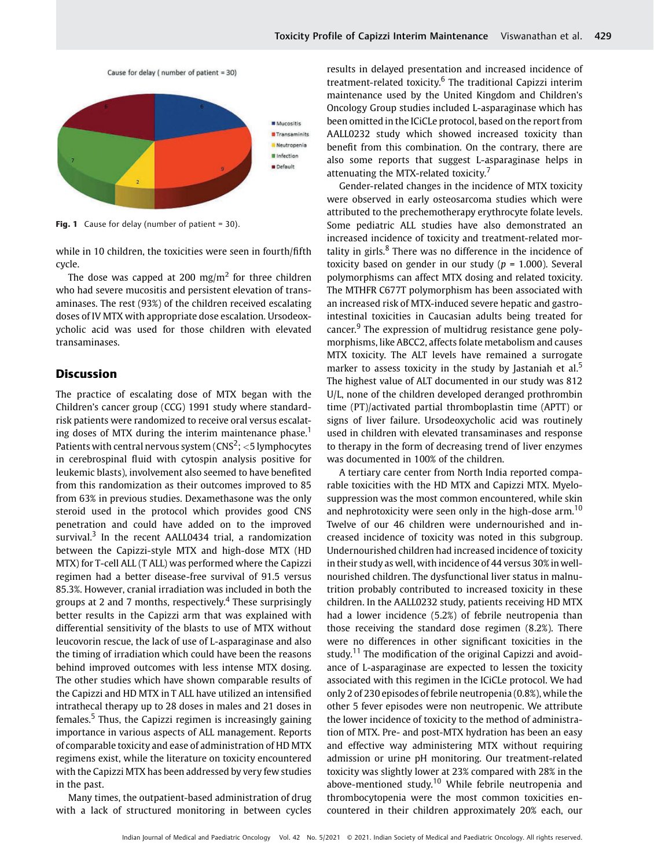

Fig. 1 Cause for delay (number of patient =  $30$ ).

while in 10 children, the toxicities were seen in fourth/fifth cycle.

The dose was capped at 200 mg/m<sup>2</sup> for three children who had severe mucositis and persistent elevation of transaminases. The rest (93%) of the children received escalating doses of IV MTX with appropriate dose escalation. Ursodeoxycholic acid was used for those children with elevated transaminases.

## Discussion

The practice of escalating dose of MTX began with the Children's cancer group (CCG) 1991 study where standardrisk patients were randomized to receive oral versus escalating doses of MTX during the interim maintenance phase.<sup>1</sup> Patients with central nervous system ( $\text{CNS}^2$ ; <5 lymphocytes in cerebrospinal fluid with cytospin analysis positive for leukemic blasts), involvement also seemed to have benefited from this randomization as their outcomes improved to 85 from 63% in previous studies. Dexamethasone was the only steroid used in the protocol which provides good CNS penetration and could have added on to the improved survival.<sup>3</sup> In the recent AALL0434 trial, a randomization between the Capizzi-style MTX and high-dose MTX (HD MTX) for T-cell ALL (T ALL) was performed where the Capizzi regimen had a better disease-free survival of 91.5 versus 85.3%. However, cranial irradiation was included in both the groups at 2 and 7 months, respectively.<sup>4</sup> These surprisingly better results in the Capizzi arm that was explained with differential sensitivity of the blasts to use of MTX without leucovorin rescue, the lack of use of L-asparaginase and also the timing of irradiation which could have been the reasons behind improved outcomes with less intense MTX dosing. The other studies which have shown comparable results of the Capizzi and HD MTX in T ALL have utilized an intensified intrathecal therapy up to 28 doses in males and 21 doses in females.<sup>5</sup> Thus, the Capizzi regimen is increasingly gaining importance in various aspects of ALL management. Reports of comparable toxicity and ease of administration of HD MTX regimens exist, while the literature on toxicity encountered with the Capizzi MTX has been addressed by very few studies in the past.

Many times, the outpatient-based administration of drug with a lack of structured monitoring in between cycles results in delayed presentation and increased incidence of treatment-related toxicity.<sup>6</sup> The traditional Capizzi interim maintenance used by the United Kingdom and Children's Oncology Group studies included L-asparaginase which has been omitted in the ICiCLe protocol, based on the report from AALL0232 study which showed increased toxicity than benefit from this combination. On the contrary, there are also some reports that suggest L-asparaginase helps in attenuating the MTX-related toxicity.

Gender-related changes in the incidence of MTX toxicity were observed in early osteosarcoma studies which were attributed to the prechemotherapy erythrocyte folate levels. Some pediatric ALL studies have also demonstrated an increased incidence of toxicity and treatment-related mortality in girls. $8$  There was no difference in the incidence of toxicity based on gender in our study ( $p = 1.000$ ). Several polymorphisms can affect MTX dosing and related toxicity. The MTHFR C677T polymorphism has been associated with an increased risk of MTX-induced severe hepatic and gastrointestinal toxicities in Caucasian adults being treated for cancer.<sup>9</sup> The expression of multidrug resistance gene polymorphisms, like ABCC2, affects folate metabolism and causes MTX toxicity. The ALT levels have remained a surrogate marker to assess toxicity in the study by Jastaniah et al.<sup>5</sup> The highest value of ALT documented in our study was 812 U/L, none of the children developed deranged prothrombin time (PT)/activated partial thromboplastin time (APTT) or signs of liver failure. Ursodeoxycholic acid was routinely used in children with elevated transaminases and response to therapy in the form of decreasing trend of liver enzymes was documented in 100% of the children.

A tertiary care center from North India reported comparable toxicities with the HD MTX and Capizzi MTX. Myelosuppression was the most common encountered, while skin and nephrotoxicity were seen only in the high-dose arm.<sup>10</sup> Twelve of our 46 children were undernourished and increased incidence of toxicity was noted in this subgroup. Undernourished children had increased incidence of toxicity in their study as well, with incidence of 44 versus 30% in wellnourished children. The dysfunctional liver status in malnutrition probably contributed to increased toxicity in these children. In the AALL0232 study, patients receiving HD MTX had a lower incidence (5.2%) of febrile neutropenia than those receiving the standard dose regimen (8.2%). There were no differences in other significant toxicities in the study.<sup>11</sup> The modification of the original Capizzi and avoidance of L-asparaginase are expected to lessen the toxicity associated with this regimen in the ICiCLe protocol. We had only 2 of 230 episodes of febrile neutropenia (0.8%), while the other 5 fever episodes were non neutropenic. We attribute the lower incidence of toxicity to the method of administration of MTX. Pre- and post-MTX hydration has been an easy and effective way administering MTX without requiring admission or urine pH monitoring. Our treatment-related toxicity was slightly lower at 23% compared with 28% in the above-mentioned study.<sup>10</sup> While febrile neutropenia and thrombocytopenia were the most common toxicities encountered in their children approximately 20% each, our